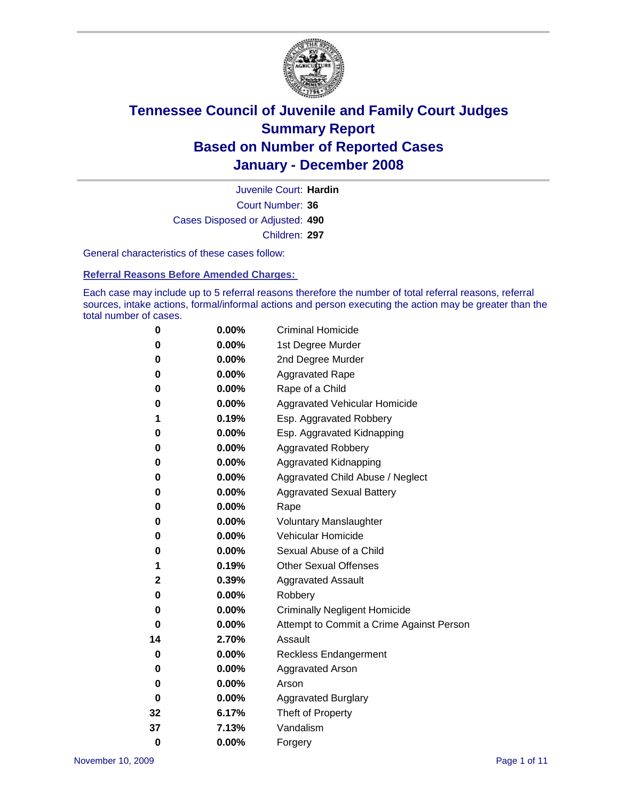

Court Number: **36** Juvenile Court: **Hardin** Cases Disposed or Adjusted: **490** Children: **297**

General characteristics of these cases follow:

**Referral Reasons Before Amended Charges:** 

Each case may include up to 5 referral reasons therefore the number of total referral reasons, referral sources, intake actions, formal/informal actions and person executing the action may be greater than the total number of cases.

| 0        | 0.00%    | <b>Criminal Homicide</b>                 |
|----------|----------|------------------------------------------|
| 0        | 0.00%    | 1st Degree Murder                        |
| 0        | $0.00\%$ | 2nd Degree Murder                        |
| 0        | 0.00%    | <b>Aggravated Rape</b>                   |
| 0        | 0.00%    | Rape of a Child                          |
| 0        | 0.00%    | Aggravated Vehicular Homicide            |
| 1        | 0.19%    | Esp. Aggravated Robbery                  |
| 0        | 0.00%    | Esp. Aggravated Kidnapping               |
| 0        | 0.00%    | <b>Aggravated Robbery</b>                |
| 0        | $0.00\%$ | Aggravated Kidnapping                    |
| 0        | 0.00%    | Aggravated Child Abuse / Neglect         |
| 0        | $0.00\%$ | <b>Aggravated Sexual Battery</b>         |
| 0        | 0.00%    | Rape                                     |
| 0        | 0.00%    | <b>Voluntary Manslaughter</b>            |
| 0        | 0.00%    | Vehicular Homicide                       |
| 0        | 0.00%    | Sexual Abuse of a Child                  |
| 1        | 0.19%    | <b>Other Sexual Offenses</b>             |
| 2        | 0.39%    | <b>Aggravated Assault</b>                |
| 0        | $0.00\%$ | Robbery                                  |
| 0        | 0.00%    | <b>Criminally Negligent Homicide</b>     |
| 0        | 0.00%    | Attempt to Commit a Crime Against Person |
| 14       | 2.70%    | Assault                                  |
| 0        | 0.00%    | <b>Reckless Endangerment</b>             |
| 0        | 0.00%    | <b>Aggravated Arson</b>                  |
| 0        | 0.00%    | Arson                                    |
| 0        | $0.00\%$ | <b>Aggravated Burglary</b>               |
| 32       | 6.17%    | Theft of Property                        |
| 37       | 7.13%    | Vandalism                                |
| $\bf{0}$ | 0.00%    | Forgery                                  |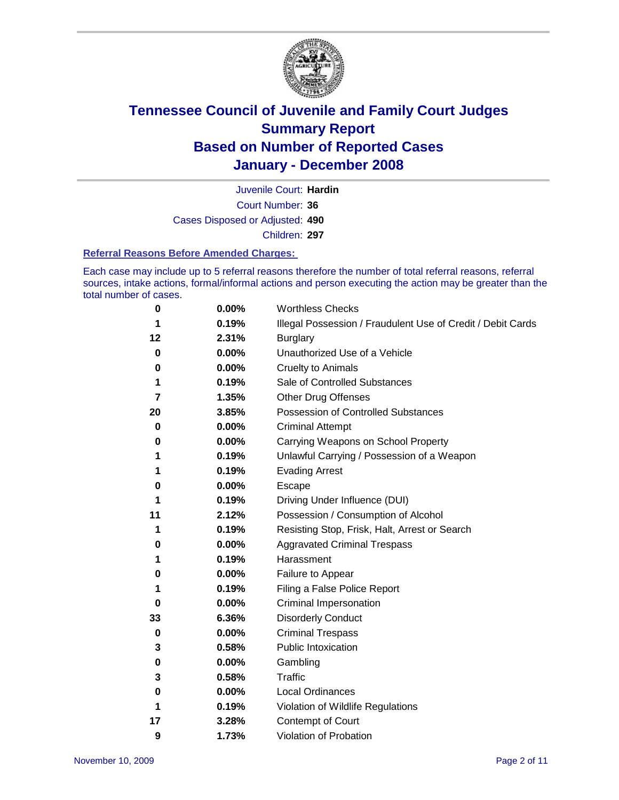

Court Number: **36** Juvenile Court: **Hardin** Cases Disposed or Adjusted: **490** Children: **297**

#### **Referral Reasons Before Amended Charges:**

Each case may include up to 5 referral reasons therefore the number of total referral reasons, referral sources, intake actions, formal/informal actions and person executing the action may be greater than the total number of cases.

| 0  | 0.00%    | <b>Worthless Checks</b>                                     |
|----|----------|-------------------------------------------------------------|
| 1  | 0.19%    | Illegal Possession / Fraudulent Use of Credit / Debit Cards |
| 12 | 2.31%    | <b>Burglary</b>                                             |
| 0  | $0.00\%$ | Unauthorized Use of a Vehicle                               |
| 0  | 0.00%    | <b>Cruelty to Animals</b>                                   |
| 1  | 0.19%    | Sale of Controlled Substances                               |
| 7  | 1.35%    | <b>Other Drug Offenses</b>                                  |
| 20 | 3.85%    | <b>Possession of Controlled Substances</b>                  |
| 0  | $0.00\%$ | <b>Criminal Attempt</b>                                     |
| 0  | $0.00\%$ | Carrying Weapons on School Property                         |
| 1  | 0.19%    | Unlawful Carrying / Possession of a Weapon                  |
| 1  | 0.19%    | <b>Evading Arrest</b>                                       |
| 0  | 0.00%    | Escape                                                      |
| 1  | 0.19%    | Driving Under Influence (DUI)                               |
| 11 | 2.12%    | Possession / Consumption of Alcohol                         |
| 1  | 0.19%    | Resisting Stop, Frisk, Halt, Arrest or Search               |
| 0  | 0.00%    | <b>Aggravated Criminal Trespass</b>                         |
| 1  | 0.19%    | Harassment                                                  |
| 0  | $0.00\%$ | Failure to Appear                                           |
| 1  | 0.19%    | Filing a False Police Report                                |
| 0  | $0.00\%$ | Criminal Impersonation                                      |
| 33 | 6.36%    | <b>Disorderly Conduct</b>                                   |
| 0  | $0.00\%$ | <b>Criminal Trespass</b>                                    |
| 3  | 0.58%    | <b>Public Intoxication</b>                                  |
| 0  | 0.00%    | Gambling                                                    |
| 3  | 0.58%    | Traffic                                                     |
| 0  | 0.00%    | Local Ordinances                                            |
| 1  | 0.19%    | Violation of Wildlife Regulations                           |
| 17 | 3.28%    | Contempt of Court                                           |
| 9  | 1.73%    | Violation of Probation                                      |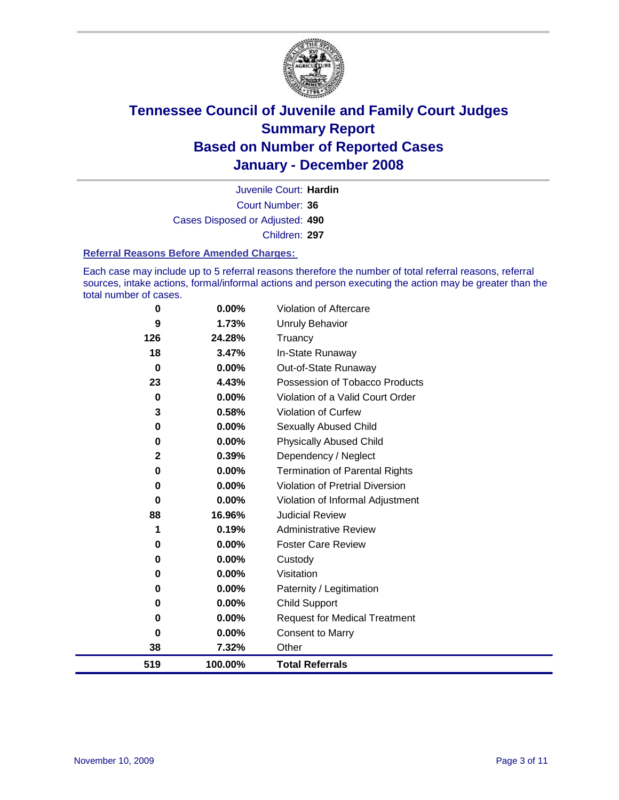

Court Number: **36** Juvenile Court: **Hardin** Cases Disposed or Adjusted: **490** Children: **297**

#### **Referral Reasons Before Amended Charges:**

Each case may include up to 5 referral reasons therefore the number of total referral reasons, referral sources, intake actions, formal/informal actions and person executing the action may be greater than the total number of cases.

| 519      | 100.00%  | <b>Total Referrals</b>                 |
|----------|----------|----------------------------------------|
| 38       | 7.32%    | Other                                  |
| 0        | 0.00%    | <b>Consent to Marry</b>                |
| 0        | 0.00%    | <b>Request for Medical Treatment</b>   |
| 0        | 0.00%    | <b>Child Support</b>                   |
| 0        | 0.00%    | Paternity / Legitimation               |
| 0        | 0.00%    | Visitation                             |
| 0        | 0.00%    | Custody                                |
| 0        | $0.00\%$ | <b>Foster Care Review</b>              |
| 1        | 0.19%    | <b>Administrative Review</b>           |
| 88       | 16.96%   | <b>Judicial Review</b>                 |
| 0        | 0.00%    | Violation of Informal Adjustment       |
| 0        | 0.00%    | <b>Violation of Pretrial Diversion</b> |
| 0        | 0.00%    | <b>Termination of Parental Rights</b>  |
| 2        | 0.39%    | Dependency / Neglect                   |
| 0        | 0.00%    | <b>Physically Abused Child</b>         |
| 0        | 0.00%    | <b>Sexually Abused Child</b>           |
| 3        | 0.58%    | <b>Violation of Curfew</b>             |
| $\bf{0}$ | 0.00%    | Violation of a Valid Court Order       |
| 23       | 4.43%    | Possession of Tobacco Products         |
| $\bf{0}$ | 0.00%    | Out-of-State Runaway                   |
| 18       | 3.47%    | In-State Runaway                       |
| 126      | 24.28%   | Truancy                                |
| 9        | 1.73%    | Unruly Behavior                        |
| 0        | 0.00%    | Violation of Aftercare                 |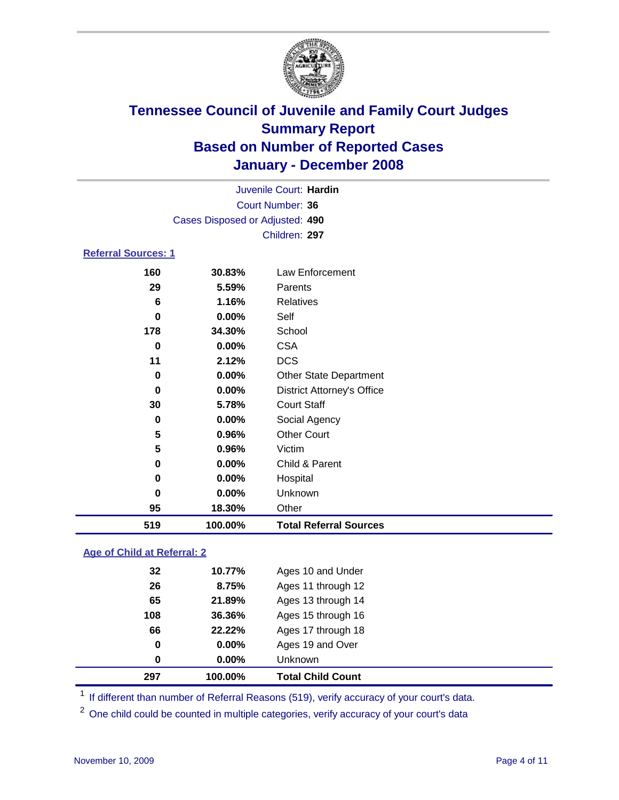

| Juvenile Court: Hardin          |        |                                   |  |  |  |  |
|---------------------------------|--------|-----------------------------------|--|--|--|--|
| Court Number: 36                |        |                                   |  |  |  |  |
| Cases Disposed or Adjusted: 490 |        |                                   |  |  |  |  |
| Children: 297                   |        |                                   |  |  |  |  |
| <b>Referral Sources: 1</b>      |        |                                   |  |  |  |  |
| 160                             | 30.83% | Law Enforcement                   |  |  |  |  |
| 29                              | 5.59%  | Parents                           |  |  |  |  |
| 6                               | 1.16%  | <b>Relatives</b>                  |  |  |  |  |
| 0                               | 0.00%  | Self                              |  |  |  |  |
| 178                             | 34.30% | School                            |  |  |  |  |
| 0                               | 0.00%  | <b>CSA</b>                        |  |  |  |  |
| 11                              | 2.12%  | <b>DCS</b>                        |  |  |  |  |
| 0                               | 0.00%  | <b>Other State Department</b>     |  |  |  |  |
| 0                               | 0.00%  | <b>District Attorney's Office</b> |  |  |  |  |
| 30                              | 5.78%  | <b>Court Staff</b>                |  |  |  |  |
| 0                               | 0.00%  | Social Agency                     |  |  |  |  |
| 5                               | 0.96%  | <b>Other Court</b>                |  |  |  |  |
| 5                               | 0.96%  | Victim                            |  |  |  |  |
| 0                               | 0.00%  | Child & Parent                    |  |  |  |  |
| 0                               | 0.00%  | Hospital                          |  |  |  |  |
| 0                               | 0.00%  | Unknown                           |  |  |  |  |
| 95                              | 18.30% | Other                             |  |  |  |  |

### **Age of Child at Referral: 2**

| 0   | 0.00%    | Unknown            |
|-----|----------|--------------------|
| 0   | $0.00\%$ | Ages 19 and Over   |
| 66  | 22.22%   | Ages 17 through 18 |
| 108 | 36.36%   | Ages 15 through 16 |
| 65  | 21.89%   | Ages 13 through 14 |
| 26  | 8.75%    | Ages 11 through 12 |
| 32  | 10.77%   | Ages 10 and Under  |
|     |          |                    |

<sup>1</sup> If different than number of Referral Reasons (519), verify accuracy of your court's data.

**100.00% Total Referral Sources**

<sup>2</sup> One child could be counted in multiple categories, verify accuracy of your court's data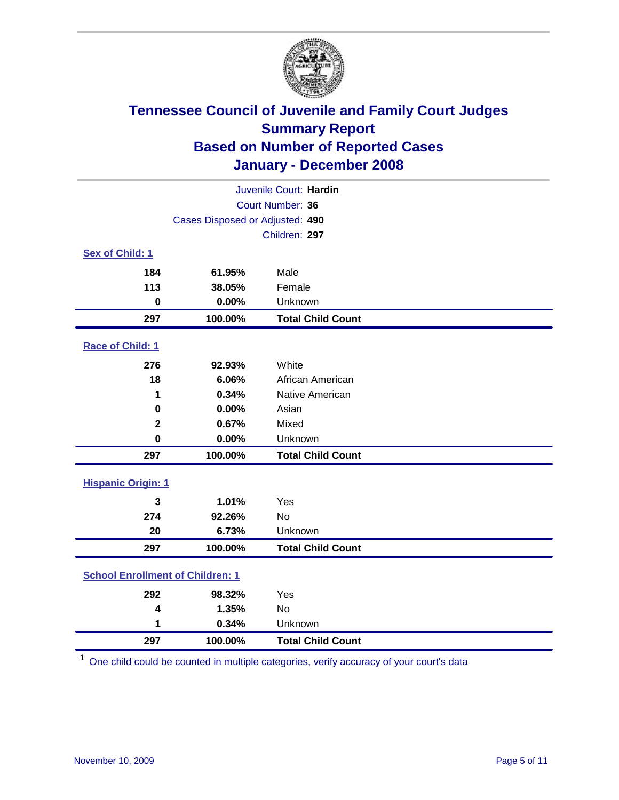

| Juvenile Court: Hardin                  |                                 |                          |  |  |  |
|-----------------------------------------|---------------------------------|--------------------------|--|--|--|
| Court Number: 36                        |                                 |                          |  |  |  |
|                                         | Cases Disposed or Adjusted: 490 |                          |  |  |  |
|                                         | Children: 297                   |                          |  |  |  |
| Sex of Child: 1                         |                                 |                          |  |  |  |
| 184                                     | 61.95%                          | Male                     |  |  |  |
| 113                                     | 38.05%                          | Female                   |  |  |  |
| $\mathbf 0$                             | 0.00%                           | Unknown                  |  |  |  |
| 297                                     | 100.00%                         | <b>Total Child Count</b> |  |  |  |
| Race of Child: 1                        |                                 |                          |  |  |  |
| 276                                     | 92.93%                          | White                    |  |  |  |
| 18                                      | 6.06%                           | African American         |  |  |  |
| 1                                       | 0.34%                           | Native American          |  |  |  |
| $\mathbf 0$                             | 0.00%                           | Asian                    |  |  |  |
| $\mathbf 2$                             | 0.67%                           | Mixed                    |  |  |  |
| $\mathbf 0$                             | 0.00%                           | Unknown                  |  |  |  |
| 297                                     | 100.00%                         | <b>Total Child Count</b> |  |  |  |
| <b>Hispanic Origin: 1</b>               |                                 |                          |  |  |  |
| 3                                       | 1.01%                           | Yes                      |  |  |  |
| 274                                     | 92.26%                          | <b>No</b>                |  |  |  |
| 20                                      | 6.73%                           | Unknown                  |  |  |  |
| 297                                     | 100.00%                         | <b>Total Child Count</b> |  |  |  |
| <b>School Enrollment of Children: 1</b> |                                 |                          |  |  |  |
| 292                                     | 98.32%                          | Yes                      |  |  |  |
| 4                                       | 1.35%                           | No                       |  |  |  |
| 1                                       | 0.34%                           | Unknown                  |  |  |  |
| 297                                     | 100.00%                         | <b>Total Child Count</b> |  |  |  |

One child could be counted in multiple categories, verify accuracy of your court's data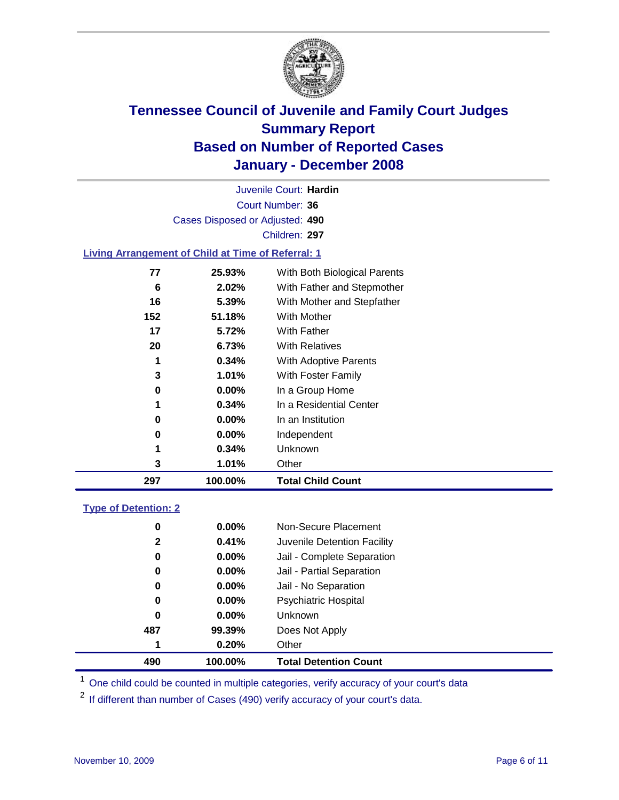

Court Number: **36** Juvenile Court: **Hardin** Cases Disposed or Adjusted: **490** Children: **297**

### **Living Arrangement of Child at Time of Referral: 1**

| 297 | 100.00%  | <b>Total Child Count</b>     |
|-----|----------|------------------------------|
| 3   | 1.01%    | Other                        |
| 1   | 0.34%    | <b>Unknown</b>               |
| 0   | $0.00\%$ | Independent                  |
| 0   | 0.00%    | In an Institution            |
| 1   | $0.34\%$ | In a Residential Center      |
| 0   | 0.00%    | In a Group Home              |
| 3   | 1.01%    | With Foster Family           |
| 1   | 0.34%    | With Adoptive Parents        |
| 20  | 6.73%    | <b>With Relatives</b>        |
| 17  | 5.72%    | <b>With Father</b>           |
| 152 | 51.18%   | With Mother                  |
| 16  | 5.39%    | With Mother and Stepfather   |
| 6   | 2.02%    | With Father and Stepmother   |
| 77  | 25.93%   | With Both Biological Parents |
|     |          |                              |

#### **Type of Detention: 2**

| 490          | 100.00%  | <b>Total Detention Count</b> |
|--------------|----------|------------------------------|
| 1            | 0.20%    | Other                        |
| 487          | 99.39%   | Does Not Apply               |
| 0            | $0.00\%$ | <b>Unknown</b>               |
| 0            | 0.00%    | <b>Psychiatric Hospital</b>  |
| 0            | $0.00\%$ | Jail - No Separation         |
| 0            | $0.00\%$ | Jail - Partial Separation    |
| 0            | $0.00\%$ | Jail - Complete Separation   |
| $\mathbf{2}$ | 0.41%    | Juvenile Detention Facility  |
| 0            | $0.00\%$ | Non-Secure Placement         |
|              |          |                              |

<sup>1</sup> One child could be counted in multiple categories, verify accuracy of your court's data

<sup>2</sup> If different than number of Cases (490) verify accuracy of your court's data.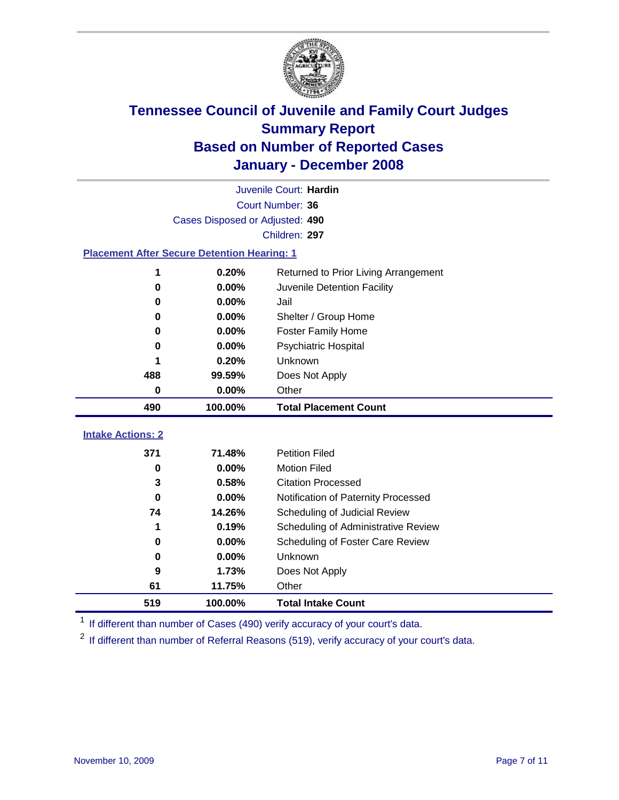

|                                                    | Juvenile Court: Hardin          |                                      |  |  |  |  |
|----------------------------------------------------|---------------------------------|--------------------------------------|--|--|--|--|
|                                                    | Court Number: 36                |                                      |  |  |  |  |
|                                                    | Cases Disposed or Adjusted: 490 |                                      |  |  |  |  |
|                                                    | Children: 297                   |                                      |  |  |  |  |
| <b>Placement After Secure Detention Hearing: 1</b> |                                 |                                      |  |  |  |  |
| 1                                                  | 0.20%                           | Returned to Prior Living Arrangement |  |  |  |  |
| 0                                                  | 0.00%                           | Juvenile Detention Facility          |  |  |  |  |
| 0.00%<br>0                                         |                                 | Jail                                 |  |  |  |  |
| 0                                                  | 0.00%                           | Shelter / Group Home                 |  |  |  |  |
| 0                                                  | 0.00%                           | Foster Family Home                   |  |  |  |  |
| 0                                                  | 0.00%                           | <b>Psychiatric Hospital</b>          |  |  |  |  |
|                                                    | 0.20%                           | Unknown                              |  |  |  |  |
| 488                                                | 99.59%                          | Does Not Apply                       |  |  |  |  |
| 0                                                  | 0.00%                           | Other                                |  |  |  |  |
| 490                                                | 100.00%                         | <b>Total Placement Count</b>         |  |  |  |  |
| <b>Intake Actions: 2</b>                           |                                 |                                      |  |  |  |  |
|                                                    |                                 |                                      |  |  |  |  |
| 371                                                | 71.48%                          | <b>Petition Filed</b>                |  |  |  |  |
| 0                                                  | 0.00%                           | <b>Motion Filed</b>                  |  |  |  |  |
| 3                                                  | 0.58%                           | <b>Citation Processed</b>            |  |  |  |  |
| 0                                                  | 0.00%                           | Notification of Paternity Processed  |  |  |  |  |
| 74                                                 | 14.26%                          | Scheduling of Judicial Review        |  |  |  |  |
| 1                                                  | 0.19%                           | Scheduling of Administrative Review  |  |  |  |  |
| 0                                                  | 0.00%                           | Scheduling of Foster Care Review     |  |  |  |  |
| 0                                                  | 0.00%                           | Unknown                              |  |  |  |  |
| 9                                                  | 1.73%                           | Does Not Apply                       |  |  |  |  |
| 61                                                 | 11.75%                          | Other                                |  |  |  |  |
| 519                                                | 100.00%                         | <b>Total Intake Count</b>            |  |  |  |  |

<sup>1</sup> If different than number of Cases (490) verify accuracy of your court's data.

<sup>2</sup> If different than number of Referral Reasons (519), verify accuracy of your court's data.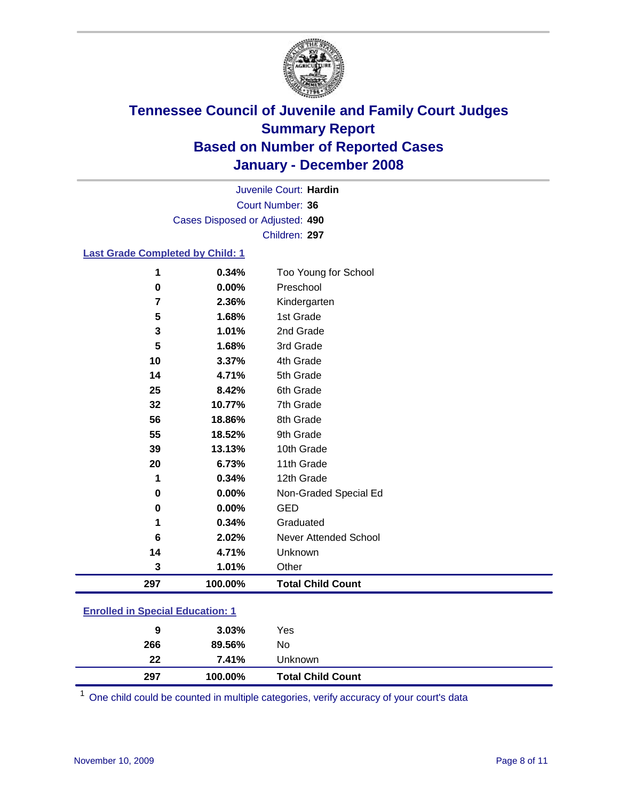

Court Number: **36** Juvenile Court: **Hardin** Cases Disposed or Adjusted: **490** Children: **297**

### **Last Grade Completed by Child: 1**

| 297 | 100.00% | <b>Total Child Count</b> |
|-----|---------|--------------------------|
| 3   | 1.01%   | Other                    |
| 14  | 4.71%   | Unknown                  |
| 6   | 2.02%   | Never Attended School    |
| 1   | 0.34%   | Graduated                |
| 0   | 0.00%   | <b>GED</b>               |
| 0   | 0.00%   | Non-Graded Special Ed    |
| 1   | 0.34%   | 12th Grade               |
| 20  | 6.73%   | 11th Grade               |
| 39  | 13.13%  | 10th Grade               |
| 55  | 18.52%  | 9th Grade                |
| 56  | 18.86%  | 8th Grade                |
| 32  | 10.77%  | 7th Grade                |
| 25  | 8.42%   | 6th Grade                |
| 14  | 4.71%   | 5th Grade                |
| 10  | 3.37%   | 4th Grade                |
| 5   | 1.68%   | 3rd Grade                |
| 3   | 1.01%   | 2nd Grade                |
| 5   | 1.68%   | 1st Grade                |
| 7   | 2.36%   | Kindergarten             |
| 0   | 0.00%   | Preschool                |
| 1   | 0.34%   | Too Young for School     |

### **Enrolled in Special Education: 1**

| Unknown         | 22<br>7.41% |  |
|-----------------|-------------|--|
| 89.56%<br>No    | 266         |  |
| $3.03\%$<br>Yes | 9           |  |
|                 |             |  |

<sup>1</sup> One child could be counted in multiple categories, verify accuracy of your court's data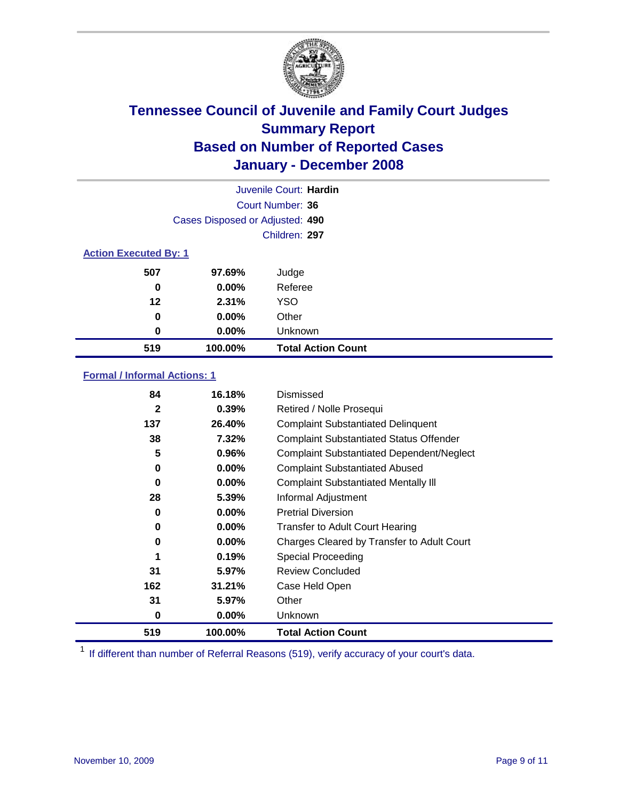

|                              | Juvenile Court: Hardin          |                           |  |  |  |  |
|------------------------------|---------------------------------|---------------------------|--|--|--|--|
| Court Number: 36             |                                 |                           |  |  |  |  |
|                              | Cases Disposed or Adjusted: 490 |                           |  |  |  |  |
|                              | Children: 297                   |                           |  |  |  |  |
| <b>Action Executed By: 1</b> |                                 |                           |  |  |  |  |
| 507                          | 97.69%                          | Judge                     |  |  |  |  |
| 0                            | $0.00\%$                        | Referee                   |  |  |  |  |
| 12                           | 2.31%                           | <b>YSO</b>                |  |  |  |  |
| 0                            | $0.00\%$                        | Other                     |  |  |  |  |
| 0                            | $0.00\%$                        | Unknown                   |  |  |  |  |
| 519                          | 100.00%                         | <b>Total Action Count</b> |  |  |  |  |

### **Formal / Informal Actions: 1**

| 84           | 16.18%   | Dismissed                                        |
|--------------|----------|--------------------------------------------------|
| $\mathbf{2}$ | 0.39%    | Retired / Nolle Prosequi                         |
| 137          | 26.40%   | <b>Complaint Substantiated Delinquent</b>        |
| 38           | 7.32%    | <b>Complaint Substantiated Status Offender</b>   |
| 5            | 0.96%    | <b>Complaint Substantiated Dependent/Neglect</b> |
| 0            | 0.00%    | <b>Complaint Substantiated Abused</b>            |
| 0            | $0.00\%$ | <b>Complaint Substantiated Mentally III</b>      |
| 28           | 5.39%    | Informal Adjustment                              |
| 0            | $0.00\%$ | <b>Pretrial Diversion</b>                        |
| 0            | $0.00\%$ | <b>Transfer to Adult Court Hearing</b>           |
| 0            | $0.00\%$ | Charges Cleared by Transfer to Adult Court       |
|              | 0.19%    | Special Proceeding                               |
| 31           | 5.97%    | <b>Review Concluded</b>                          |
| 162          | 31.21%   | Case Held Open                                   |
| 31           | 5.97%    | Other                                            |
| 0            | $0.00\%$ | <b>Unknown</b>                                   |
| 519          | 100.00%  | <b>Total Action Count</b>                        |

<sup>1</sup> If different than number of Referral Reasons (519), verify accuracy of your court's data.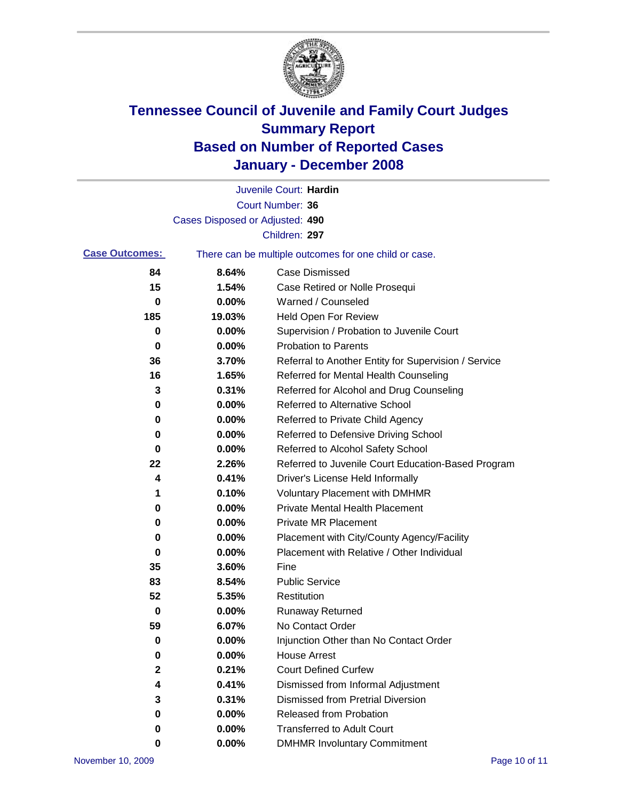

|                                                                                |                                 | Juvenile Court: Hardin                               |
|--------------------------------------------------------------------------------|---------------------------------|------------------------------------------------------|
|                                                                                |                                 | Court Number: 36                                     |
|                                                                                | Cases Disposed or Adjusted: 490 |                                                      |
|                                                                                |                                 | Children: 297                                        |
| <b>Case Outcomes:</b><br>There can be multiple outcomes for one child or case. |                                 |                                                      |
| 84                                                                             | 8.64%                           | <b>Case Dismissed</b>                                |
| 15                                                                             | 1.54%                           | Case Retired or Nolle Prosequi                       |
| 0                                                                              | 0.00%                           | Warned / Counseled                                   |
| 185                                                                            | 19.03%                          | Held Open For Review                                 |
| 0                                                                              | 0.00%                           | Supervision / Probation to Juvenile Court            |
| 0                                                                              | 0.00%                           | <b>Probation to Parents</b>                          |
| 36                                                                             | 3.70%                           | Referral to Another Entity for Supervision / Service |
| 16                                                                             | 1.65%                           | Referred for Mental Health Counseling                |
| 3                                                                              | 0.31%                           | Referred for Alcohol and Drug Counseling             |
| 0                                                                              | 0.00%                           | <b>Referred to Alternative School</b>                |
| 0                                                                              | 0.00%                           | Referred to Private Child Agency                     |
| 0                                                                              | 0.00%                           | Referred to Defensive Driving School                 |
| 0                                                                              | 0.00%                           | Referred to Alcohol Safety School                    |
| 22                                                                             | 2.26%                           | Referred to Juvenile Court Education-Based Program   |
| 4                                                                              | 0.41%                           | Driver's License Held Informally                     |
| 1                                                                              | 0.10%                           | <b>Voluntary Placement with DMHMR</b>                |
| 0                                                                              | 0.00%                           | <b>Private Mental Health Placement</b>               |
| 0                                                                              | 0.00%                           | <b>Private MR Placement</b>                          |
| 0                                                                              | 0.00%                           | Placement with City/County Agency/Facility           |
| 0                                                                              | 0.00%                           | Placement with Relative / Other Individual           |
| 35                                                                             | 3.60%                           | Fine                                                 |
| 83                                                                             | 8.54%                           | <b>Public Service</b>                                |
| 52                                                                             | 5.35%                           | Restitution                                          |
| 0                                                                              | 0.00%                           | <b>Runaway Returned</b>                              |
| 59                                                                             | 6.07%                           | No Contact Order                                     |
| $\mathbf 0$                                                                    | 0.00%                           | Injunction Other than No Contact Order               |
| 0                                                                              | 0.00%                           | <b>House Arrest</b>                                  |
| 2                                                                              | 0.21%                           | <b>Court Defined Curfew</b>                          |
| 4                                                                              | 0.41%                           | Dismissed from Informal Adjustment                   |
| 3                                                                              | 0.31%                           | <b>Dismissed from Pretrial Diversion</b>             |
| 0                                                                              | 0.00%                           | Released from Probation                              |
| 0                                                                              | 0.00%                           | <b>Transferred to Adult Court</b>                    |
| 0                                                                              | 0.00%                           | <b>DMHMR Involuntary Commitment</b>                  |